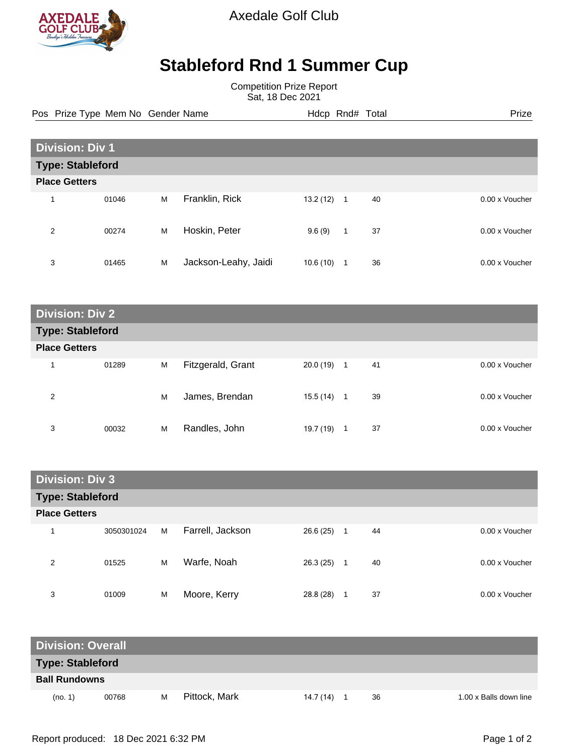

Axedale Golf Club

## **Stableford Rnd 1 Summer Cup**

Competition Prize Report Sat, 18 Dec 2021

Pos Prize Type Mem No Gender Name **Hdcp Rnd# Total** Prize Prize

| <b>Division: Div 1</b>  |       |   |                      |          |             |    |                |  |
|-------------------------|-------|---|----------------------|----------|-------------|----|----------------|--|
| <b>Type: Stableford</b> |       |   |                      |          |             |    |                |  |
| <b>Place Getters</b>    |       |   |                      |          |             |    |                |  |
| 1                       | 01046 | M | Franklin, Rick       | 13.2(12) | $\mathbf 1$ | 40 | 0.00 x Voucher |  |
| 2                       | 00274 | M | Hoskin, Peter        | 9.6(9)   | 1           | 37 | 0.00 x Voucher |  |
| 3                       | 01465 | M | Jackson-Leahy, Jaidi | 10.6(10) | 1           | 36 | 0.00 x Voucher |  |

| <b>Division: Div 2</b>  |       |   |                   |           |              |    |                |  |
|-------------------------|-------|---|-------------------|-----------|--------------|----|----------------|--|
| <b>Type: Stableford</b> |       |   |                   |           |              |    |                |  |
| <b>Place Getters</b>    |       |   |                   |           |              |    |                |  |
| и                       | 01289 | M | Fitzgerald, Grant | 20.0 (19) | $\mathbf{1}$ | 41 | 0.00 x Voucher |  |
| 2                       |       | M | James, Brendan    | 15.5 (14) | 1            | 39 | 0.00 x Voucher |  |
| 3                       | 00032 | M | Randles, John     | 19.7 (19) | 1            | 37 | 0.00 x Voucher |  |

| <b>Division: Div 3</b>  |            |   |                  |           |    |    |  |                |  |
|-------------------------|------------|---|------------------|-----------|----|----|--|----------------|--|
|                         |            |   |                  |           |    |    |  |                |  |
| <b>Type: Stableford</b> |            |   |                  |           |    |    |  |                |  |
| <b>Place Getters</b>    |            |   |                  |           |    |    |  |                |  |
|                         | 3050301024 | М | Farrell, Jackson | 26.6 (25) | -1 | 44 |  | 0.00 x Voucher |  |
| 2                       | 01525      | M | Warfe, Noah      | 26.3(25)  | -1 | 40 |  | 0.00 x Voucher |  |
| 3                       | 01009      | M | Moore, Kerry     | 28.8 (28) |    | 37 |  | 0.00 x Voucher |  |

| <b>Division: Overall</b> |       |   |               |           |  |    |                        |  |
|--------------------------|-------|---|---------------|-----------|--|----|------------------------|--|
| <b>Type: Stableford</b>  |       |   |               |           |  |    |                        |  |
| <b>Ball Rundowns</b>     |       |   |               |           |  |    |                        |  |
| (no. 1)                  | 00768 | M | Pittock, Mark | 14.7 (14) |  | 36 | 1.00 x Balls down line |  |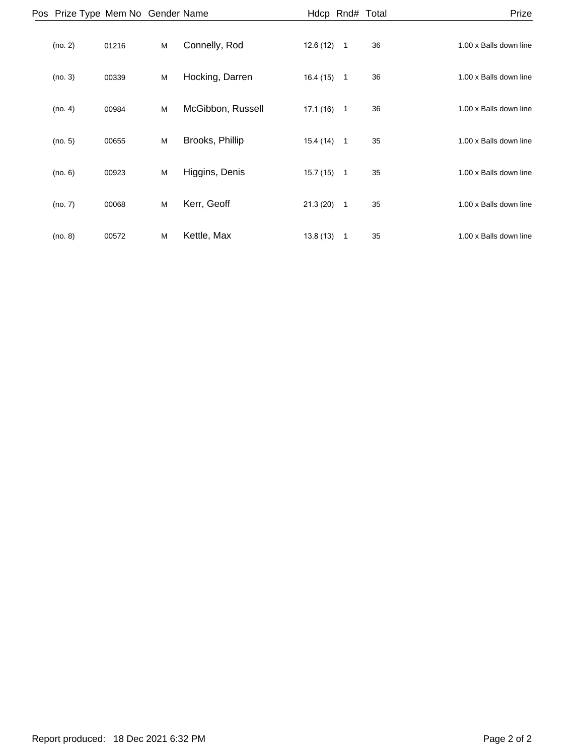| Prize                  |    |                | Hdcp Rnd# Total |                   |   |       | Pos Prize Type Mem No Gender Name |  |
|------------------------|----|----------------|-----------------|-------------------|---|-------|-----------------------------------|--|
| 1.00 x Balls down line | 36 | $\overline{1}$ | 12.6(12)        | Connelly, Rod     | M | 01216 | (no. 2)                           |  |
| 1.00 x Balls down line | 36 | $\overline{1}$ | 16.4(15)        | Hocking, Darren   | M | 00339 | (no. 3)                           |  |
| 1.00 x Balls down line | 36 | $\overline{1}$ | 17.1(16)        | McGibbon, Russell | M | 00984 | (no. 4)                           |  |
| 1.00 x Balls down line | 35 | $\mathbf{1}$   | 15.4(14)        | Brooks, Phillip   | M | 00655 | (no. 5)                           |  |
| 1.00 x Balls down line | 35 | $\overline{1}$ | 15.7 (15)       | Higgins, Denis    | M | 00923 | (no. 6)                           |  |
| 1.00 x Balls down line | 35 | $\overline{1}$ | 21.3(20)        | Kerr, Geoff       | M | 00068 | (no. 7)                           |  |
| 1.00 x Balls down line | 35 | $\mathbf{1}$   | 13.8(13)        | Kettle, Max       | M | 00572 | (no. 8)                           |  |